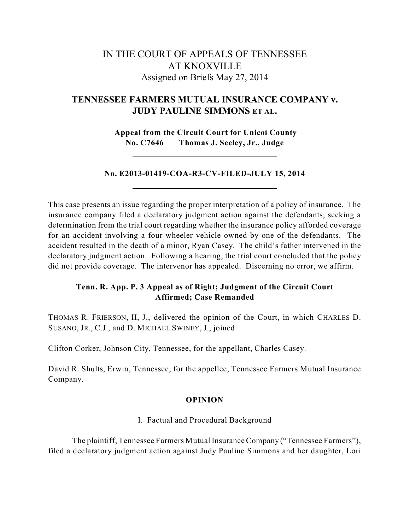# IN THE COURT OF APPEALS OF TENNESSEE AT KNOXVILLE Assigned on Briefs May 27, 2014

## **TENNESSEE FARMERS MUTUAL INSURANCE COMPANY v. JUDY PAULINE SIMMONS ET AL.**

**Appeal from the Circuit Court for Unicoi County No. C7646 Thomas J. Seeley, Jr., Judge**

### **No. E2013-01419-COA-R3-CV-FILED-JULY 15, 2014**

This case presents an issue regarding the proper interpretation of a policy of insurance. The insurance company filed a declaratory judgment action against the defendants, seeking a determination from the trial court regarding whether the insurance policy afforded coverage for an accident involving a four-wheeler vehicle owned by one of the defendants. The accident resulted in the death of a minor, Ryan Casey. The child's father intervened in the declaratory judgment action. Following a hearing, the trial court concluded that the policy did not provide coverage. The intervenor has appealed. Discerning no error, we affirm.

### **Tenn. R. App. P. 3 Appeal as of Right; Judgment of the Circuit Court Affirmed; Case Remanded**

THOMAS R. FRIERSON, II, J., delivered the opinion of the Court, in which CHARLES D. SUSANO, JR., C.J., and D. MICHAEL SWINEY, J., joined.

Clifton Corker, Johnson City, Tennessee, for the appellant, Charles Casey.

David R. Shults, Erwin, Tennessee, for the appellee, Tennessee Farmers Mutual Insurance Company.

### **OPINION**

I. Factual and Procedural Background

The plaintiff, Tennessee Farmers Mutual Insurance Company ("Tennessee Farmers"), filed a declaratory judgment action against Judy Pauline Simmons and her daughter, Lori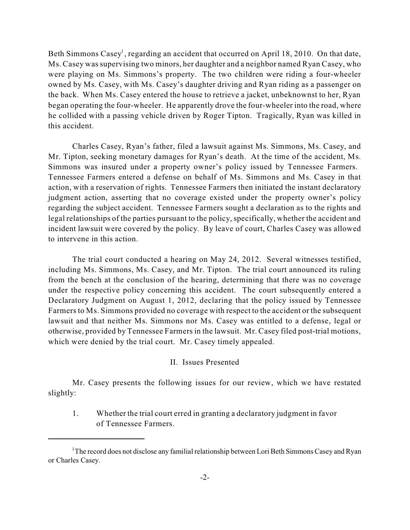Beth Simmons Casey<sup>1</sup>, regarding an accident that occurred on April 18, 2010. On that date, Ms. Casey wassupervising two minors, her daughter and a neighbor named Ryan Casey, who were playing on Ms. Simmons's property. The two children were riding a four-wheeler owned by Ms. Casey, with Ms. Casey's daughter driving and Ryan riding as a passenger on the back. When Ms. Casey entered the house to retrieve a jacket, unbeknownst to her, Ryan began operating the four-wheeler. He apparently drove the four-wheeler into the road, where he collided with a passing vehicle driven by Roger Tipton. Tragically, Ryan was killed in this accident.

Charles Casey, Ryan's father, filed a lawsuit against Ms. Simmons, Ms. Casey, and Mr. Tipton, seeking monetary damages for Ryan's death. At the time of the accident, Ms. Simmons was insured under a property owner's policy issued by Tennessee Farmers. Tennessee Farmers entered a defense on behalf of Ms. Simmons and Ms. Casey in that action, with a reservation of rights. Tennessee Farmers then initiated the instant declaratory judgment action, asserting that no coverage existed under the property owner's policy regarding the subject accident. Tennessee Farmers sought a declaration as to the rights and legal relationships of the parties pursuant to the policy, specifically, whether the accident and incident lawsuit were covered by the policy. By leave of court, Charles Casey was allowed to intervene in this action.

The trial court conducted a hearing on May 24, 2012. Several witnesses testified, including Ms. Simmons, Ms. Casey, and Mr. Tipton. The trial court announced its ruling from the bench at the conclusion of the hearing, determining that there was no coverage under the respective policy concerning this accident. The court subsequently entered a Declaratory Judgment on August 1, 2012, declaring that the policy issued by Tennessee Farmers to Ms. Simmons provided no coverage with respect to the accident or the subsequent lawsuit and that neither Ms. Simmons nor Ms. Casey was entitled to a defense, legal or otherwise, provided by Tennessee Farmers in the lawsuit. Mr. Casey filed post-trial motions, which were denied by the trial court. Mr. Casey timely appealed.

#### II. Issues Presented

Mr. Casey presents the following issues for our review, which we have restated slightly:

### 1. Whether the trial court erred in granting a declaratory judgment in favor of Tennessee Farmers.

<sup>&</sup>lt;sup>1</sup>The record does not disclose any familial relationship between Lori Beth Simmons Casey and Ryan or Charles Casey.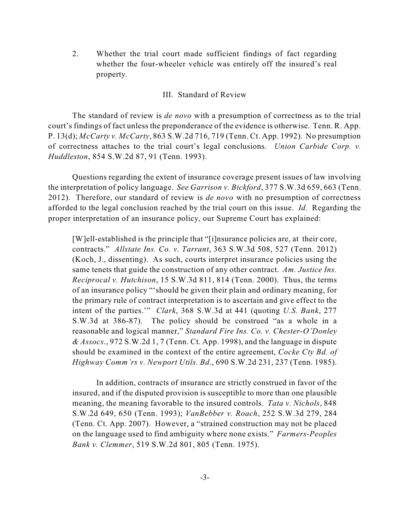2. Whether the trial court made sufficient findings of fact regarding whether the four-wheeler vehicle was entirely off the insured's real property.

#### III. Standard of Review

The standard of review is *de novo* with a presumption of correctness as to the trial court's findings of fact unless the preponderance of the evidence is otherwise. Tenn. R. App. P. 13(d); *McCarty v. McCarty*, 863 S.W.2d 716, 719 (Tenn. Ct. App. 1992). No presumption of correctness attaches to the trial court's legal conclusions. *Union Carbide Corp. v. Huddleston*, 854 S.W.2d 87, 91 (Tenn. 1993).

Questions regarding the extent of insurance coverage present issues of law involving the interpretation of policy language. *See Garrison v. Bickford*, 377 S.W.3d 659, 663 (Tenn. 2012). Therefore, our standard of review is *de novo* with no presumption of correctness afforded to the legal conclusion reached by the trial court on this issue. *Id.* Regarding the proper interpretation of an insurance policy, our Supreme Court has explained:

[W]ell-established is the principle that "[i]nsurance policies are, at their core, contracts." *Allstate Ins. Co. v. Tarrant*, 363 S.W.3d 508, 527 (Tenn. 2012) (Koch, J., dissenting). As such, courts interpret insurance policies using the same tenets that guide the construction of any other contract. *Am. Justice Ins. Reciprocal v. Hutchison*, 15 S.W.3d 811, 814 (Tenn. 2000). Thus, the terms of an insurance policy "'should be given their plain and ordinary meaning, for the primary rule of contract interpretation is to ascertain and give effect to the intent of the parties.'" *Clark*, 368 S.W.3d at 441 (quoting *U.S. Bank*, 277 S.W.3d at 386-87). The policy should be construed "as a whole in a reasonable and logical manner," *Standard Fire Ins. Co. v. Chester-O'Donley & Assocs*., 972 S.W.2d 1, 7 (Tenn. Ct. App. 1998), and the language in dispute should be examined in the context of the entire agreement, *Cocke Cty Bd. of Highway Comm'rs v. Newport Utils. Bd*., 690 S.W.2d 231, 237 (Tenn. 1985).

In addition, contracts of insurance are strictly construed in favor of the insured, and if the disputed provision is susceptible to more than one plausible meaning, the meaning favorable to the insured controls. *Tata v. Nichols*, 848 S.W.2d 649, 650 (Tenn. 1993); *VanBebber v. Roach*, 252 S.W.3d 279, 284 (Tenn. Ct. App. 2007). However, a "strained construction may not be placed on the language used to find ambiguity where none exists." *Farmers-Peoples Bank v. Clemmer*, 519 S.W.2d 801, 805 (Tenn. 1975).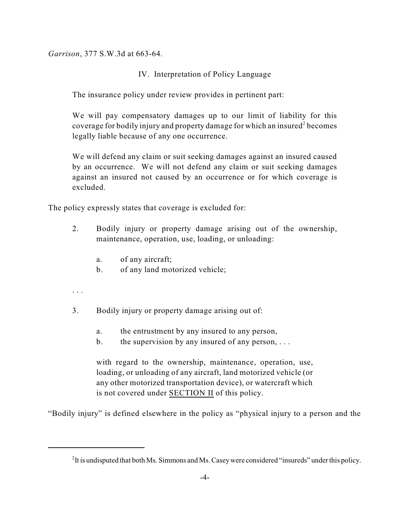*Garrison*, 377 S.W.3d at 663-64.

### IV. Interpretation of Policy Language

The insurance policy under review provides in pertinent part:

We will pay compensatory damages up to our limit of liability for this coverage for bodily injury and property damage for which an insured<sup>2</sup> becomes legally liable because of any one occurrence.

We will defend any claim or suit seeking damages against an insured caused by an occurrence. We will not defend any claim or suit seeking damages against an insured not caused by an occurrence or for which coverage is excluded.

The policy expressly states that coverage is excluded for:

- 2. Bodily injury or property damage arising out of the ownership, maintenance, operation, use, loading, or unloading:
	- a. of any aircraft;
	- b. of any land motorized vehicle;
- . . .
- 3. Bodily injury or property damage arising out of:
	- a. the entrustment by any insured to any person,
	- b. the supervision by any insured of any person,  $\dots$

with regard to the ownership, maintenance, operation, use, loading, or unloading of any aircraft, land motorized vehicle (or any other motorized transportation device), or watercraft which is not covered under SECTION II of this policy.

"Bodily injury" is defined elsewhere in the policy as "physical injury to a person and the

<sup>&</sup>lt;sup>2</sup>It is undisputed that both Ms. Simmons and Ms. Casey were considered "insureds" under this policy.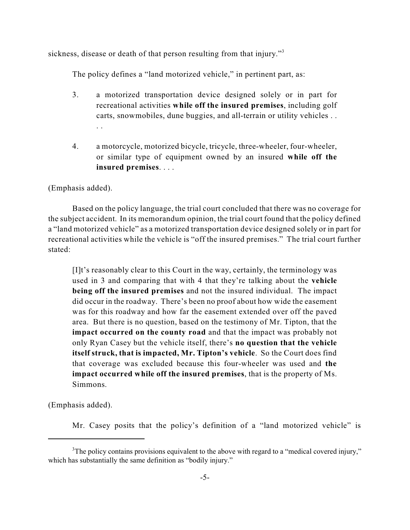sickness, disease or death of that person resulting from that injury."<sup>3</sup>

The policy defines a "land motorized vehicle," in pertinent part, as:

- 3. a motorized transportation device designed solely or in part for recreational activities **while off the insured premises**, including golf carts, snowmobiles, dune buggies, and all-terrain or utility vehicles . . . .
- 4. a motorcycle, motorized bicycle, tricycle, three-wheeler, four-wheeler, or similar type of equipment owned by an insured **while off the insured premises**. . . .

(Emphasis added).

Based on the policy language, the trial court concluded that there was no coverage for the subject accident. In its memorandum opinion, the trial court found that the policy defined a "land motorized vehicle" as a motorized transportation device designed solely or in part for recreational activities while the vehicle is "off the insured premises." The trial court further stated:

[I]t's reasonably clear to this Court in the way, certainly, the terminology was used in 3 and comparing that with 4 that they're talking about the **vehicle being off the insured premises** and not the insured individual. The impact did occur in the roadway. There's been no proof about how wide the easement was for this roadway and how far the easement extended over off the paved area. But there is no question, based on the testimony of Mr. Tipton, that the **impact occurred on the county road** and that the impact was probably not only Ryan Casey but the vehicle itself, there's **no question that the vehicle itself struck, that is impacted, Mr. Tipton's vehicle**. So the Court does find that coverage was excluded because this four-wheeler was used and **the impact occurred while off the insured premises**, that is the property of Ms. Simmons.

(Emphasis added).

Mr. Casey posits that the policy's definition of a "land motorized vehicle" is

 $3$ The policy contains provisions equivalent to the above with regard to a "medical covered injury," which has substantially the same definition as "bodily injury."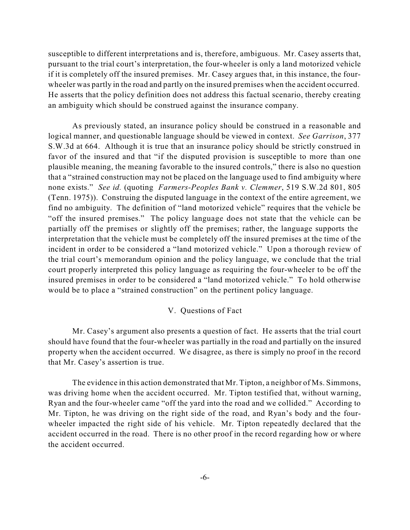susceptible to different interpretations and is, therefore, ambiguous. Mr. Casey asserts that, pursuant to the trial court's interpretation, the four-wheeler is only a land motorized vehicle if it is completely off the insured premises. Mr. Casey argues that, in this instance, the fourwheeler was partly in the road and partly on the insured premises when the accident occurred. He asserts that the policy definition does not address this factual scenario, thereby creating an ambiguity which should be construed against the insurance company.

As previously stated, an insurance policy should be construed in a reasonable and logical manner, and questionable language should be viewed in context. *See Garrison*, 377 S.W.3d at 664. Although it is true that an insurance policy should be strictly construed in favor of the insured and that "if the disputed provision is susceptible to more than one plausible meaning, the meaning favorable to the insured controls," there is also no question that a "strained construction may not be placed on the language used to find ambiguity where none exists." *See id.* (quoting *Farmers-Peoples Bank v. Clemmer*, 519 S.W.2d 801, 805 (Tenn. 1975)). Construing the disputed language in the context of the entire agreement, we find no ambiguity. The definition of "land motorized vehicle" requires that the vehicle be "off the insured premises." The policy language does not state that the vehicle can be partially off the premises or slightly off the premises; rather, the language supports the interpretation that the vehicle must be completely off the insured premises at the time of the incident in order to be considered a "land motorized vehicle." Upon a thorough review of the trial court's memorandum opinion and the policy language, we conclude that the trial court properly interpreted this policy language as requiring the four-wheeler to be off the insured premises in order to be considered a "land motorized vehicle." To hold otherwise would be to place a "strained construction" on the pertinent policy language.

### V. Questions of Fact

Mr. Casey's argument also presents a question of fact. He asserts that the trial court should have found that the four-wheeler was partially in the road and partially on the insured property when the accident occurred. We disagree, as there is simply no proof in the record that Mr. Casey's assertion is true.

The evidence in this action demonstrated that Mr. Tipton, a neighbor of Ms. Simmons, was driving home when the accident occurred. Mr. Tipton testified that, without warning, Ryan and the four-wheeler came "off the yard into the road and we collided." According to Mr. Tipton, he was driving on the right side of the road, and Ryan's body and the fourwheeler impacted the right side of his vehicle. Mr. Tipton repeatedly declared that the accident occurred in the road. There is no other proof in the record regarding how or where the accident occurred.